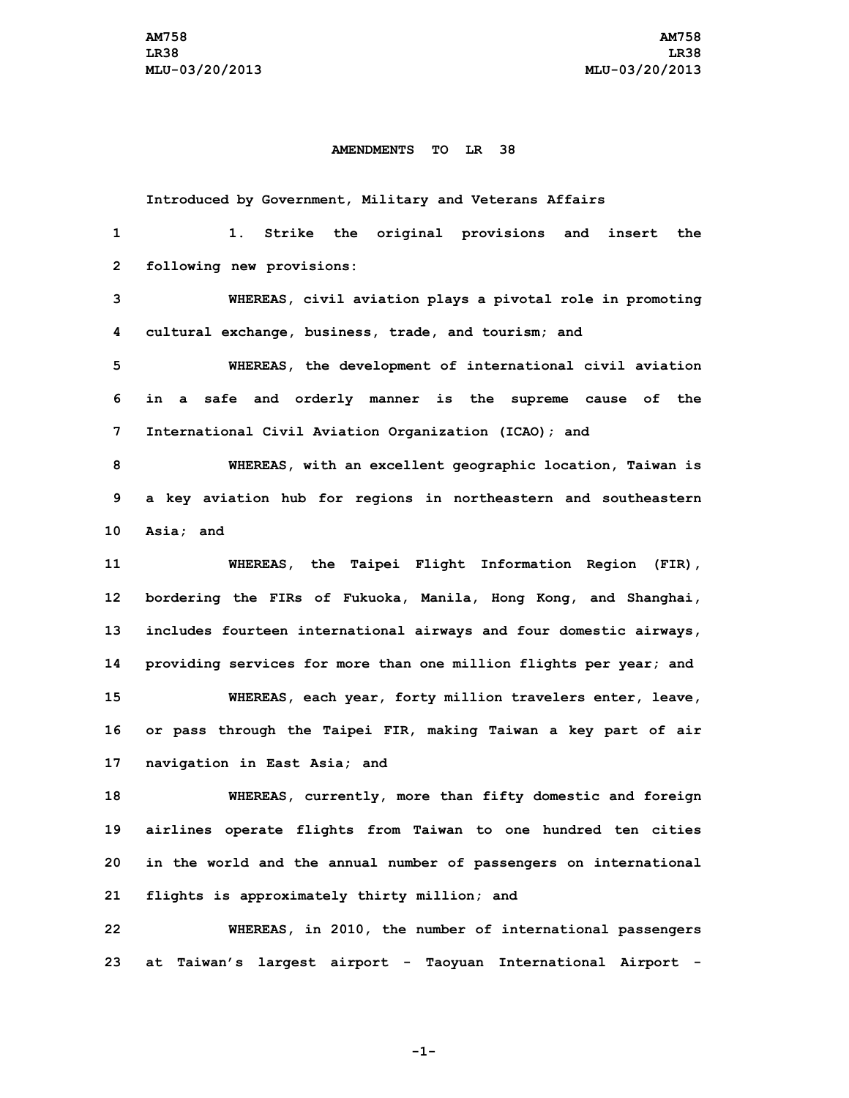## **AMENDMENTS TO LR 38**

**Introduced by Government, Military and Veterans Affairs 1. Strike the original provisions and insert the following new provisions: WHEREAS, civil aviation plays <sup>a</sup> pivotal role in promoting cultural exchange, business, trade, and tourism; and WHEREAS, the development of international civil aviation in <sup>a</sup> safe and orderly manner is the supreme cause of the International Civil Aviation Organization (ICAO); and WHEREAS, with an excellent geographic location, Taiwan is <sup>a</sup> key aviation hub for regions in northeastern and southeastern Asia; and WHEREAS, the Taipei Flight Information Region (FIR), bordering the FIRs of Fukuoka, Manila, Hong Kong, and Shanghai, includes fourteen international airways and four domestic airways, providing services for more than one million flights per year; and WHEREAS, each year, forty million travelers enter, leave, or pass through the Taipei FIR, making Taiwan <sup>a</sup> key part of air navigation in East Asia; and WHEREAS, currently, more than fifty domestic and foreign airlines operate flights from Taiwan to one hundred ten cities in the world and the annual number of passengers on international flights is approximately thirty million; and WHEREAS, in 2010, the number of international passengers**

**-1-**

**23 at Taiwan's largest airport - Taoyuan International Airport -**